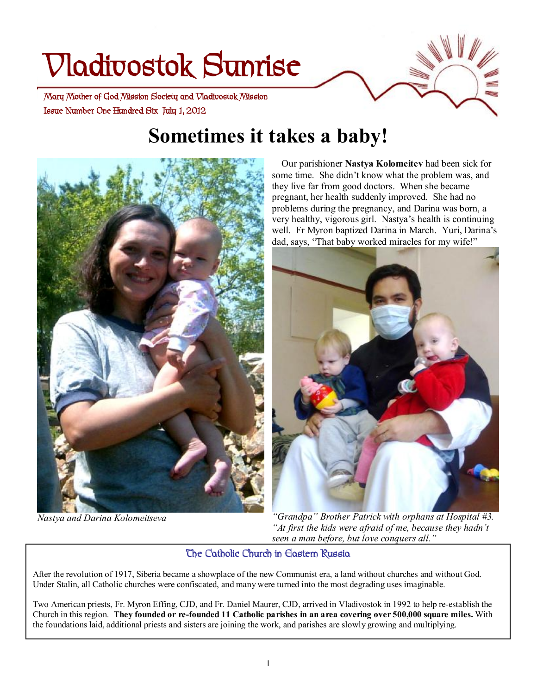# **Vladivostok Sunrise**

 **Issue Number One Hundred Six July 1, 2012 Mary Mother of God Mission Society and Vladivostok Mission** 

# **Sometimes it takes a baby!**



*Nastya and Darina Kolomeitseva* 

 Our parishioner **Nastya Kolomeitev** had been sick for some time. She didn't know what the problem was, and they live far from good doctors. When she became pregnant, her health suddenly improved. She had no problems during the pregnancy, and Darina was born, a very healthy, vigorous girl. Nastya's health is continuing well. Fr Myron baptized Darina in March. Yuri, Darina's dad, says, "That baby worked miracles for my wife!"



*"Grandpa" Brother Patrick with orphans at Hospital #3. "At first the kids were afraid of me, because they hadn't seen a man before, but love conquers all."*

#### **The Catholic Church in Eastern Russia**

After the revolution of 1917, Siberia became a showplace of the new Communist era, a land without churches and without God. Under Stalin, all Catholic churches were confiscated, and many were turned into the most degrading uses imaginable.

Two American priests, Fr. Myron Effing, CJD, and Fr. Daniel Maurer, CJD, arrived in Vladivostok in 1992 to help re-establish the Church in this region. They founded or re-founded 11 Catholic parishes in an area covering over 500,000 square miles. With the foundations laid, additional priests and sisters are joining the work, and parishes are slowly growing and multiplying.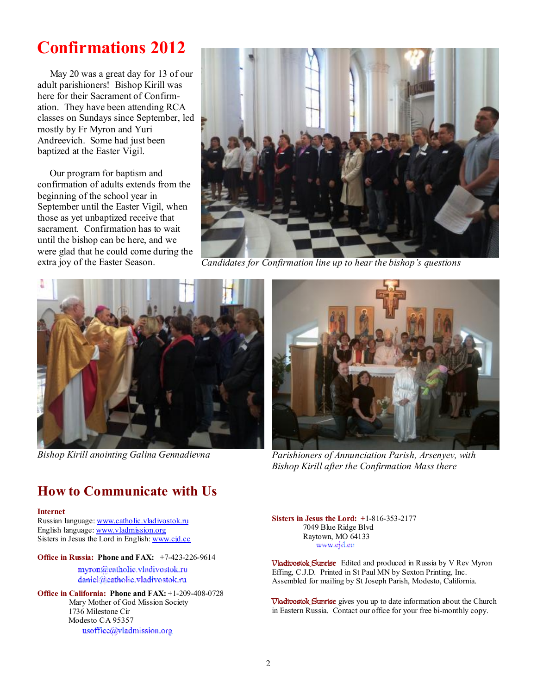# **Confirmations 2012**

May 20 was a great day for 13 of our adult parishioners! Bishop Kirill was here for their Sacrament of Confirmation. They have been attending RCA classes on Sundays since September, led mostly by Fr Myron and Yuri Andreevich. Some had just been baptized at the Easter Vigil.

 Our program for baptism and confirmation of adults extends from the beginning of the school year in September until the Easter Vigil, when those as yet unbaptized receive that sacrament. Confirmation has to wait until the bishop can be here, and we were glad that he could come during the



extra joy of the Easter Season. *Candidates for Confirmation line up to hear the bishop's questions* 



*Bishop Kirill anointing Galina Gennadievna* 



*Parishioners of Annunciation Parish, Arsenyev, with Bishop Kirill after the Confirmation Mass there* 

### **How to Communicate with Us**

#### **Internet**

Russian language: [www.catholic.vladivostok.ru](http://www.catholic.vladivostok.ru) English language: [www.vladmission.org](http://www.vladmission.org) Sisters in Jesus the Lord in English: [www.cjd.cc](http://www.cjd.cc)

#### **Office in Russia: Phone and FAX:** +7-423-226-9614

myron@catholic.vladivostok.ru daniel@catholic.vladivostok.ru

**Office in California: Phone and FAX:** +1-209-408-0728 Mary Mother of God Mission Society 1736 Milestone Cir Modesto CA 95357 usoffice@vladmission.org

**Sisters in Jesus the Lord: +**1-816-353-2177 7049 Blue Ridge Blvd Raytown, MO 64133 www.ejd.ee

**Vladivostok Sunrise** Edited and produced in Russia by V Rev Myron Effing, C.J.D. Printed in St Paul MN by Sexton Printing, Inc. Assembled for mailing by St Joseph Parish, Modesto, California.

**Vladivostok Sunrise** gives you up to date information about the Church in Eastern Russia. Contact our office for your free bi-monthly copy.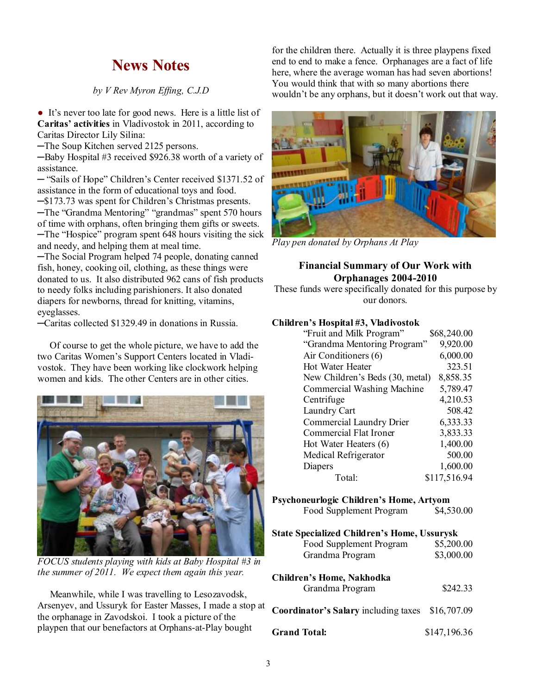# **News Notes**

#### *by V Rev Myron Effing, C.J.D*

• It's never too late for good news. Here is a little list of **Caritas' activities** in Vladivostok in 2011, according to Caritas Director Lily Silina:

─The Soup Kitchen served 2125 persons.

─Baby Hospital #3 received \$926.38 worth of a variety of assistance.

─ "Sails of Hope" Children's Center received \$1371.52 of assistance in the form of educational toys and food.

─\$173.73 was spent for Children's Christmas presents.

─The "Grandma Mentoring" "grandmas" spent 570 hours of time with orphans, often bringing them gifts or sweets. ─The "Hospice" program spent 648 hours visiting the sick and needy, and helping them at meal time.

─The Social Program helped 74 people, donating canned fish, honey, cooking oil, clothing, as these things were donated to us. It also distributed 962 cans of fish products to needy folks including parishioners. It also donated diapers for newborns, thread for knitting, vitamins, eyeglasses.

─Caritas collected \$1329.49 in donations in Russia.

 Of course to get the whole picture, we have to add the two Caritas Women's Support Centers located in Vladivostok. They have been working like clockwork helping women and kids. The other Centers are in other cities.



*FOCUS students playing with kids at Baby Hospital #3 in the summer of 2011. We expect them again this year.* 

 Meanwhile, while I was travelling to Lesozavodsk, Arsenyev, and Ussuryk for Easter Masses, I made a stop at the orphanage in Zavodskoi. I took a picture of the playpen that our benefactors at Orphans-at-Play bought

for the children there. Actually it is three playpens fixed end to end to make a fence. Orphanages are a fact of life here, where the average woman has had seven abortions! You would think that with so many abortions there wouldn't be any orphans, but it doesn't work out that way.



*Play pen donated by Orphans At Play* 

#### **Financial Summary of Our Work with Orphanages 2004-2010**

These funds were specifically donated for this purpose by our donors.

#### **Children's Hospital #3, Vladivostok**

| "Fruit and Milk Program"        | \$68,240.00  |
|---------------------------------|--------------|
| "Grandma Mentoring Program"     | 9,920.00     |
| Air Conditioners (6)            | 6,000.00     |
| Hot Water Heater                | 323.51       |
| New Children's Beds (30, metal) | 8,858.35     |
| Commercial Washing Machine      | 5,789.47     |
| Centrifuge                      | 4,210.53     |
| Laundry Cart                    | 508.42       |
| Commercial Laundry Drier        | 6,333.33     |
| Commercial Flat Ironer          | 3,833.33     |
| Hot Water Heaters (6)           | 1,400.00     |
| Medical Refrigerator            | 500.00       |
| Diapers                         | 1,600.00     |
| Total:                          | \$117,516.94 |

#### **Psychoneurlogic Children's Home, Artyom**

Food Supplement Program \$4,530.00

#### **State Specialized Children's Home, Ussurysk**

| Food Supplement Program | \$5,200.00 |
|-------------------------|------------|
| Grandma Program         | \$3,000.00 |

| Children's Home, Nakhodka<br>Grandma Program            | \$242.33 |
|---------------------------------------------------------|----------|
| <b>Coordinator's Salary including taxes</b> \$16,707.09 |          |

Grand Total: \$147,196.36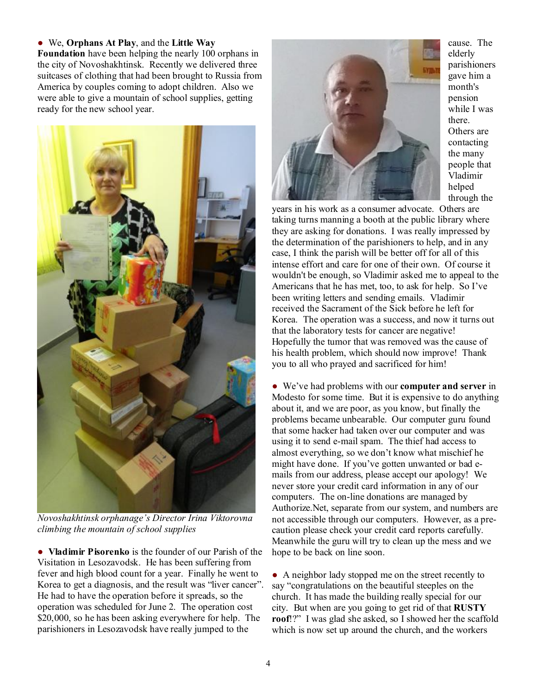#### ● We, **Orphans At Play**, and the **Little Way**

**Foundation** have been helping the nearly 100 orphans in the city of Novoshakhtinsk. Recently we delivered three suitcases of clothing that had been brought to Russia from America by couples coming to adopt children. Also we were able to give a mountain of school supplies, getting ready for the new school year.



*Novoshakhtinsk orphanage's Director Irina Viktorovna climbing the mountain of school supplies* 

● **Vladimir Pisorenko** is the founder of our Parish of the Visitation in Lesozavodsk. He has been suffering from fever and high blood count for a year. Finally he went to Korea to get a diagnosis, and the result was "liver cancer". He had to have the operation before it spreads, so the operation was scheduled for June 2. The operation cost \$20,000, so he has been asking everywhere for help. The parishioners in Lesozavodsk have really jumped to the



cause. The elderly parishioners gave him a month's pension while I was there. Others are contacting the many people that Vladimir helped through the

years in his work as a consumer advocate. Others are taking turns manning a booth at the public library where they are asking for donations. I was really impressed by the determination of the parishioners to help, and in any case, I think the parish will be better off for all of this intense effort and care for one of their own. Of course it wouldn't be enough, so Vladimir asked me to appeal to the Americans that he has met, too, to ask for help. So I've been writing letters and sending emails. Vladimir received the Sacrament of the Sick before he left for Korea. The operation was a success, and now it turns out that the laboratory tests for cancer are negative! Hopefully the tumor that was removed was the cause of his health problem, which should now improve! Thank you to all who prayed and sacrificed for him!

● We've had problems with our **computer and server** in Modesto for some time. But it is expensive to do anything about it, and we are poor, as you know, but finally the problems became unbearable. Our computer guru found that some hacker had taken over our computer and was using it to send e-mail spam. The thief had access to almost everything, so we don't know what mischief he might have done. If you've gotten unwanted or bad emails from our address, please accept our apology! We never store your credit card information in any of our computers. The on-line donations are managed by Authorize.Net, separate from our system, and numbers are not accessible through our computers. However, as a precaution please check your credit card reports carefully. Meanwhile the guru will try to clean up the mess and we hope to be back on line soon.

● A neighbor lady stopped me on the street recently to say "congratulations on the beautiful steeples on the church. It has made the building really special for our city. But when are you going to get rid of that **RUSTY roof**!?" I was glad she asked, so I showed her the scaffold which is now set up around the church, and the workers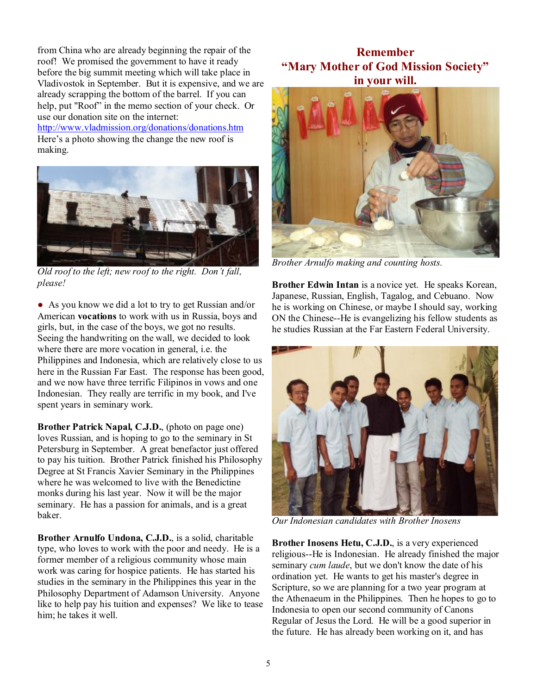from China who are already beginning the repair of the roof! We promised the government to have it ready before the big summit meeting which will take place in Vladivostok in September. But it is expensive, and we are already scrapping the bottom of the barrel. If you can help, put "Roof" in the memo section of your check. Or use our donation site on the internet:

<http://www.vladmission.org/donations/donations.htm> Here's a photo showing the change the new roof is making.



*Old roof to the left; new roof to the right. Don't fall, please!* 

● As you know we did a lot to try to get Russian and/or American **vocations** to work with us in Russia, boys and girls, but, in the case of the boys, we got no results. Seeing the handwriting on the wall, we decided to look where there are more vocation in general, i.e. the Philippines and Indonesia, which are relatively close to us here in the Russian Far East. The response has been good, and we now have three terrific Filipinos in vows and one Indonesian. They really are terrific in my book, and I've spent years in seminary work.

**Brother Patrick Napal, C.J.D.**, (photo on page one) loves Russian, and is hoping to go to the seminary in St Petersburg in September. A great benefactor just offered to pay his tuition. Brother Patrick finished his Philosophy Degree at St Francis Xavier Seminary in the Philippines where he was welcomed to live with the Benedictine monks during his last year. Now it will be the major seminary. He has a passion for animals, and is a great baker.

**Brother Arnulfo Undona, C.J.D.**, is a solid, charitable type, who loves to work with the poor and needy. He is a former member of a religious community whose main work was caring for hospice patients. He has started his studies in the seminary in the Philippines this year in the Philosophy Department of Adamson University. Anyone like to help pay his tuition and expenses? We like to tease him; he takes it well.

#### **Remember "Mary Mother of God Mission Society" in your will.**



*Brother Arnulfo making and counting hosts.* 

**Brother Edwin Intan** is a novice yet. He speaks Korean, Japanese, Russian, English, Tagalog, and Cebuano. Now he is working on Chinese, or maybe I should say, working ON the Chinese--He is evangelizing his fellow students as he studies Russian at the Far Eastern Federal University.



*Our Indonesian candidates with Brother Inosens* 

**Brother Inosens Hetu, C.J.D.**, is a very experienced religious--He is Indonesian. He already finished the major seminary *cum laude*, but we don't know the date of his ordination yet. He wants to get his master's degree in Scripture, so we are planning for a two year program at the Athenaeum in the Philippines. Then he hopes to go to Indonesia to open our second community of Canons Regular of Jesus the Lord. He will be a good superior in the future. He has already been working on it, and has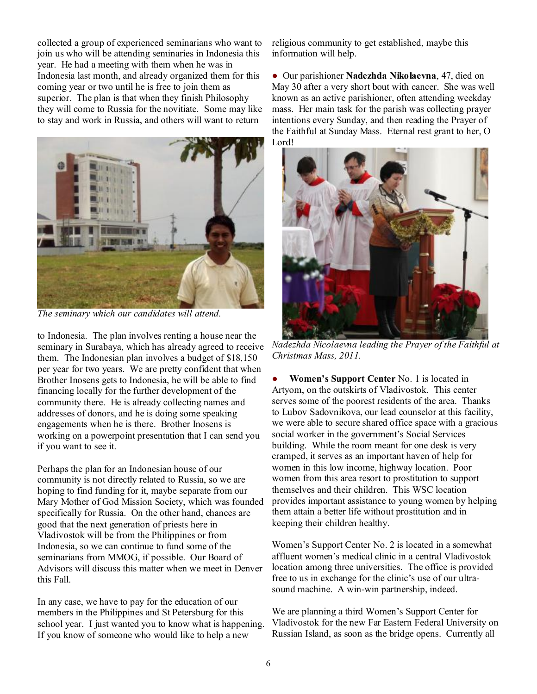collected a group of experienced seminarians who want to join us who will be attending seminaries in Indonesia this year. He had a meeting with them when he was in Indonesia last month, and already organized them for this coming year or two until he is free to join them as superior. The plan is that when they finish Philosophy they will come to Russia for the novitiate. Some may like to stay and work in Russia, and others will want to return



*The seminary which our candidates will attend.* 

to Indonesia. The plan involves renting a house near the seminary in Surabaya, which has already agreed to receive them. The Indonesian plan involves a budget of \$18,150 per year for two years. We are pretty confident that when Brother Inosens gets to Indonesia, he will be able to find financing locally for the further development of the community there. He is already collecting names and addresses of donors, and he is doing some speaking engagements when he is there. Brother Inosens is working on a powerpoint presentation that I can send you if you want to see it.

Perhaps the plan for an Indonesian house of our community is not directly related to Russia, so we are hoping to find funding for it, maybe separate from our Mary Mother of God Mission Society, which was founded specifically for Russia. On the other hand, chances are good that the next generation of priests here in Vladivostok will be from the Philippines or from Indonesia, so we can continue to fund some of the seminarians from MMOG, if possible. Our Board of Advisors will discuss this matter when we meet in Denver this Fall.

In any case, we have to pay for the education of our members in the Philippines and St Petersburg for this school year. I just wanted you to know what is happening. If you know of someone who would like to help a new

religious community to get established, maybe this information will help.

● Our parishioner **Nadezhda Nikolaevna**, 47, died on May 30 after a very short bout with cancer. She was well known as an active parishioner, often attending weekday mass. Her main task for the parish was collecting prayer intentions every Sunday, and then reading the Prayer of the Faithful at Sunday Mass. Eternal rest grant to her, O Lord!



*Nadezhda Nicolaevna leading the Prayer of the Faithful at Christmas Mass, 2011.* 

**Women's Support Center** No. 1 is located in Artyom, on the outskirts of Vladivostok. This center serves some of the poorest residents of the area. Thanks to Lubov Sadovnikova, our lead counselor at this facility, we were able to secure shared office space with a gracious social worker in the government's Social Services building. While the room meant for one desk is very cramped, it serves as an important haven of help for women in this low income, highway location. Poor women from this area resort to prostitution to support themselves and their children. This WSC location provides important assistance to young women by helping them attain a better life without prostitution and in keeping their children healthy.

Women's Support Center No. 2 is located in a somewhat affluent women's medical clinic in a central Vladivostok location among three universities. The office is provided free to us in exchange for the clinic's use of our ultrasound machine. A win-win partnership, indeed.

We are planning a third Women's Support Center for Vladivostok for the new Far Eastern Federal University on Russian Island, as soon as the bridge opens. Currently all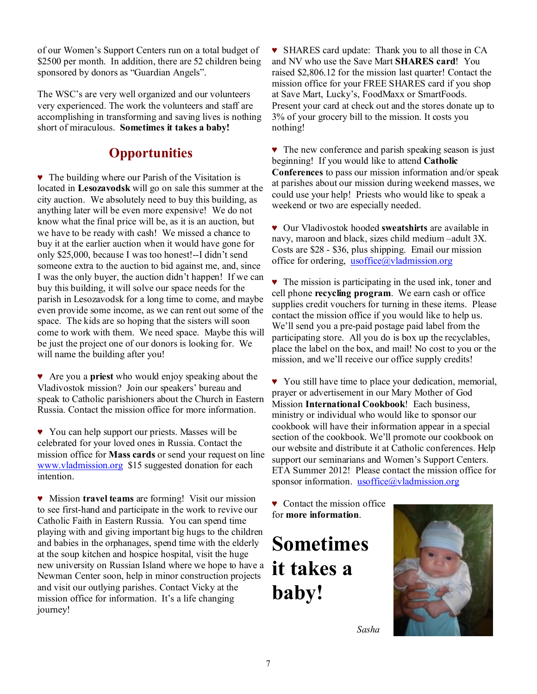of our Women's Support Centers run on a total budget of \$2500 per month. In addition, there are 52 children being sponsored by donors as "Guardian Angels".

The WSC's are very well organized and our volunteers very experienced. The work the volunteers and staff are accomplishing in transforming and saving lives is nothing short of miraculous. **Sometimes it takes a baby!**

## **Opportunities**

♥ The building where our Parish of the Visitation is located in **Lesozavodsk** will go on sale this summer at the city auction. We absolutely need to buy this building, as anything later will be even more expensive! We do not know what the final price will be, as it is an auction, but we have to be ready with cash! We missed a chance to buy it at the earlier auction when it would have gone for only \$25,000, because I was too honest!--I didn't send someone extra to the auction to bid against me, and, since I was the only buyer, the auction didn't happen! If we can buy this building, it will solve our space needs for the parish in Lesozavodsk for a long time to come, and maybe even provide some income, as we can rent out some of the space. The kids are so hoping that the sisters will soon come to work with them. We need space. Maybe this will be just the project one of our donors is looking for. We will name the building after you!

♥ Are you a **priest** who would enjoy speaking about the Vladivostok mission? Join our speakers' bureau and speak to Catholic parishioners about the Church in Eastern Russia. Contact the mission office for more information.

♥ You can help support our priests. Masses will be celebrated for your loved ones in Russia. Contact the mission office for **Mass cards** or send your request on line [www.vladmission.org](http://www.vladmission.org) \$15 suggested donation for each intention.

♥ Mission **travel teams** are forming! Visit our mission to see first-hand and participate in the work to revive our Catholic Faith in Eastern Russia. You can spend time playing with and giving important big hugs to the children and babies in the orphanages, spend time with the elderly at the soup kitchen and hospice hospital, visit the huge new university on Russian Island where we hope to have a Newman Center soon, help in minor construction projects and visit our outlying parishes. Contact Vicky at the mission office for information. It's a life changing journey!

♥ SHARES card update: Thank you to all those in CA and NV who use the Save Mart **SHARES card**! You raised \$2,806.12 for the mission last quarter! Contact the mission office for your FREE SHARES card if you shop at Save Mart, Lucky's, FoodMaxx or SmartFoods. Present your card at check out and the stores donate up to 3% of your grocery bill to the mission. It costs you nothing!

♥ The new conference and parish speaking season is just beginning! If you would like to attend **Catholic Conferences** to pass our mission information and/or speak at parishes about our mission during weekend masses, we could use your help! Priests who would like to speak a weekend or two are especially needed.

♥ Our Vladivostok hooded **sweatshirts** are available in navy, maroon and black, sizes child medium –adult 3X. Costs are \$28 - \$36, plus shipping. Email our mission office for ordering, [usoffice@vladmission.org](mailto:usoffice@vladmission.org)

♥ The mission is participating in the used ink, toner and cell phone **recycling program**. We earn cash or office supplies credit vouchers for turning in these items. Please contact the mission office if you would like to help us. We'll send you a pre-paid postage paid label from the participating store. All you do is box up the recyclables, place the label on the box, and mail! No cost to you or the mission, and we'll receive our office supply credits!

♥ You still have time to place your dedication, memorial, prayer or advertisement in our Mary Mother of God Mission **International Cookbook**! Each business, ministry or individual who would like to sponsor our cookbook will have their information appear in a special section of the cookbook. We'll promote our cookbook on our website and distribute it at Catholic conferences. Help support our seminarians and Women's Support Centers. ETA Summer 2012! Please contact the mission office for sponsor information. [usoffice@vladmission.org](mailto:usoffice@vladmission.org)

♥ Contact the mission office for **more information**.

**Sometimes it takes a baby!** 



 *Sasha*